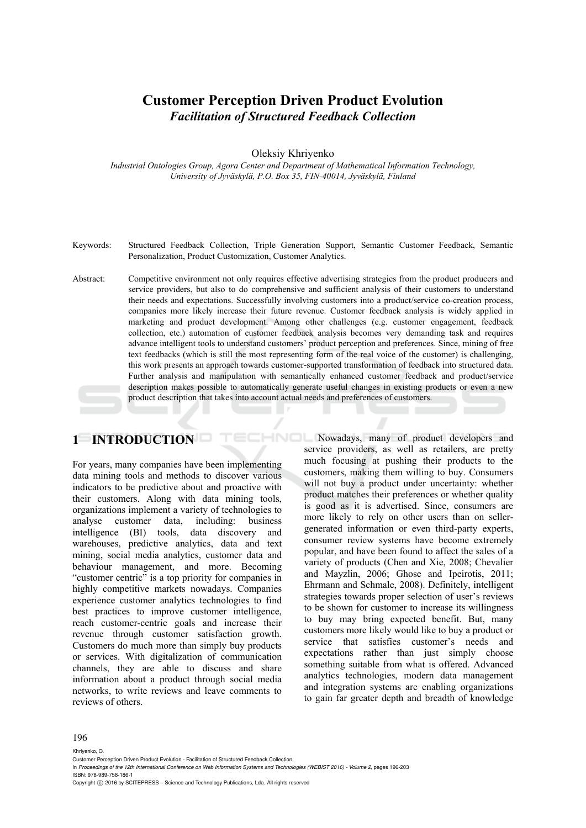# **Customer Perception Driven Product Evolution**  *Facilitation of Structured Feedback Collection*

Oleksiy Khriyenko

*Industrial Ontologies Group, Agora Center and Department of Mathematical Information Technology, University of Jyväskylä, P.O. Box 35, FIN-40014, Jyväskylä, Finland* 

- Keywords: Structured Feedback Collection, Triple Generation Support, Semantic Customer Feedback, Semantic Personalization, Product Customization, Customer Analytics.
- Abstract: Competitive environment not only requires effective advertising strategies from the product producers and service providers, but also to do comprehensive and sufficient analysis of their customers to understand their needs and expectations. Successfully involving customers into a product/service co-creation process, companies more likely increase their future revenue. Customer feedback analysis is widely applied in marketing and product development. Among other challenges (e.g. customer engagement, feedback collection, etc.) automation of customer feedback analysis becomes very demanding task and requires advance intelligent tools to understand customers' product perception and preferences. Since, mining of free text feedbacks (which is still the most representing form of the real voice of the customer) is challenging, this work presents an approach towards customer-supported transformation of feedback into structured data. Further analysis and manipulation with semantically enhanced customer feedback and product/service description makes possible to automatically generate useful changes in existing products or even a new product description that takes into account actual needs and preferences of customers.

### **1 INTRODUCTION**

For years, many companies have been implementing data mining tools and methods to discover various indicators to be predictive about and proactive with their customers. Along with data mining tools, organizations implement a variety of technologies to analyse customer data, including: business intelligence (BI) tools, data discovery and warehouses, predictive analytics, data and text mining, social media analytics, customer data and behaviour management, and more. Becoming "customer centric" is a top priority for companies in highly competitive markets nowadays. Companies experience customer analytics technologies to find best practices to improve customer intelligence, reach customer-centric goals and increase their revenue through customer satisfaction growth. Customers do much more than simply buy products or services. With digitalization of communication channels, they are able to discuss and share information about a product through social media networks, to write reviews and leave comments to reviews of others.

**Nowadays**, many of product developers and service providers, as well as retailers, are pretty much focusing at pushing their products to the customers, making them willing to buy. Consumers will not buy a product under uncertainty: whether product matches their preferences or whether quality is good as it is advertised. Since, consumers are more likely to rely on other users than on sellergenerated information or even third-party experts, consumer review systems have become extremely popular, and have been found to affect the sales of a variety of products (Chen and Xie, 2008; Chevalier and Mayzlin, 2006; Ghose and Ipeirotis, 2011; Ehrmann and Schmale, 2008). Definitely, intelligent strategies towards proper selection of user's reviews to be shown for customer to increase its willingness to buy may bring expected benefit. But, many customers more likely would like to buy a product or service that satisfies customer's needs and expectations rather than just simply choose something suitable from what is offered. Advanced analytics technologies, modern data management and integration systems are enabling organizations to gain far greater depth and breadth of knowledge

#### 196

Khriyenko, O.

Copyright C 2016 by SCITEPRESS – Science and Technology Publications, Lda. All rights reserved

Customer Perception Driven Product Evolution - Facilitation of Structured Feedback Collection.

In *Proceedings of the 12th International Conference on Web Information Systems and Technologies (WEBIST 2016) - Volume 2*, pages 196-203 ISBN: 978-989-758-186-1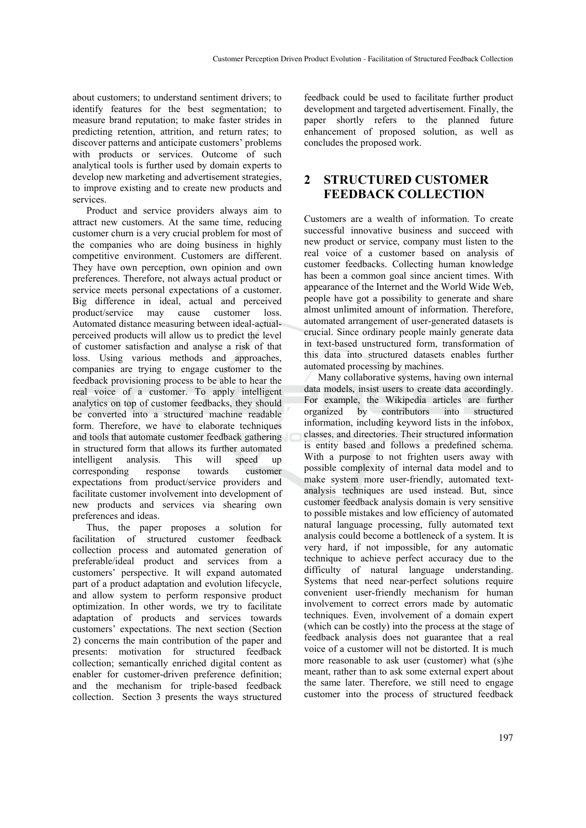about customers; to understand sentiment drivers; to identify features for the best segmentation; to measure brand reputation; to make faster strides in predicting retention, attrition, and return rates; to discover patterns and anticipate customers' problems with products or services. Outcome of such analytical tools is further used by domain experts to develop new marketing and advertisement strategies, to improve existing and to create new products and services.

Product and service providers always aim to attract new customers. At the same time, reducing customer churn is a very crucial problem for most of the companies who are doing business in highly competitive environment. Customers are different. They have own perception, own opinion and own preferences. Therefore, not always actual product or service meets personal expectations of a customer. Big difference in ideal, actual and perceived product/service may cause customer loss. Automated distance measuring between ideal-actualperceived products will allow us to predict the level of customer satisfaction and analyse a risk of that loss. Using various methods and approaches, companies are trying to engage customer to the feedback provisioning process to be able to hear the real voice of a customer. To apply intelligent analytics on top of customer feedbacks, they should be converted into a structured machine readable form. Therefore, we have to elaborate techniques and tools that automate customer feedback gathering in structured form that allows its further automated intelligent analysis. This will speed up corresponding response towards customer expectations from product/service providers and facilitate customer involvement into development of new products and services via shearing own preferences and ideas.

Thus, the paper proposes a solution for facilitation of structured customer feedback collection process and automated generation of preferable/ideal product and services from a customers' perspective. It will expand automated part of a product adaptation and evolution lifecycle, and allow system to perform responsive product optimization. In other words, we try to facilitate adaptation of products and services towards customers' expectations. The next section (Section 2) concerns the main contribution of the paper and presents: motivation for structured feedback collection; semantically enriched digital content as enabler for customer-driven preference definition; and the mechanism for triple-based feedback collection. Section 3 presents the ways structured

feedback could be used to facilitate further product development and targeted advertisement. Finally, the paper shortly refers to the planned future enhancement of proposed solution, as well as concludes the proposed work.

## **2 STRUCTURED CUSTOMER FEEDBACK COLLECTION**

Customers are a wealth of information. To create successful innovative business and succeed with new product or service, company must listen to the real voice of a customer based on analysis of customer feedbacks. Collecting human knowledge has been a common goal since ancient times. With appearance of the Internet and the World Wide Web, people have got a possibility to generate and share almost unlimited amount of information. Therefore, automated arrangement of user-generated datasets is crucial. Since ordinary people mainly generate data in text-based unstructured form, transformation of this data into structured datasets enables further automated processing by machines.

Many collaborative systems, having own internal data models, insist users to create data accordingly. For example, the Wikipedia articles are further organized by contributors into structured information, including keyword lists in the infobox, classes, and directories. Their structured information is entity based and follows a predefined schema. With a purpose to not frighten users away with possible complexity of internal data model and to make system more user-friendly, automated textanalysis techniques are used instead. But, since customer feedback analysis domain is very sensitive to possible mistakes and low efficiency of automated natural language processing, fully automated text analysis could become a bottleneck of a system. It is very hard, if not impossible, for any automatic technique to achieve perfect accuracy due to the difficulty of natural language understanding. Systems that need near-perfect solutions require convenient user-friendly mechanism for human involvement to correct errors made by automatic techniques. Even, involvement of a domain expert (which can be costly) into the process at the stage of feedback analysis does not guarantee that a real voice of a customer will not be distorted. It is much more reasonable to ask user (customer) what (s)he meant, rather than to ask some external expert about the same later. Therefore, we still need to engage customer into the process of structured feedback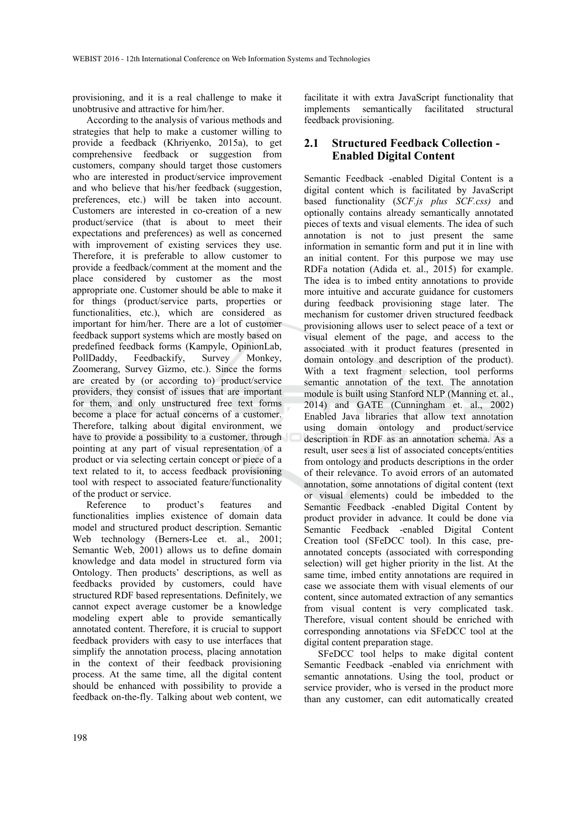provisioning, and it is a real challenge to make it unobtrusive and attractive for him/her.

According to the analysis of various methods and strategies that help to make a customer willing to provide a feedback (Khriyenko, 2015a), to get comprehensive feedback or suggestion from customers, company should target those customers who are interested in product/service improvement and who believe that his/her feedback (suggestion, preferences, etc.) will be taken into account. Customers are interested in co-creation of a new product/service (that is about to meet their expectations and preferences) as well as concerned with improvement of existing services they use. Therefore, it is preferable to allow customer to provide a feedback/comment at the moment and the place considered by customer as the most appropriate one. Customer should be able to make it for things (product/service parts, properties or functionalities, etc.), which are considered as important for him/her. There are a lot of customer feedback support systems which are mostly based on predefined feedback forms (Kampyle, OpinionLab, PollDaddy, Feedbackify, Survey Monkey, Zoomerang, Survey Gizmo, etc.). Since the forms are created by (or according to) product/service providers, they consist of issues that are important for them, and only unstructured free text forms become a place for actual concerns of a customer. Therefore, talking about digital environment, we have to provide a possibility to a customer, through pointing at any part of visual representation of a product or via selecting certain concept or piece of a text related to it, to access feedback provisioning tool with respect to associated feature/functionality of the product or service.

Reference to product's features and functionalities implies existence of domain data model and structured product description. Semantic Web technology (Berners-Lee et. al., 2001; Semantic Web, 2001) allows us to define domain knowledge and data model in structured form via Ontology. Then products' descriptions, as well as feedbacks provided by customers, could have structured RDF based representations. Definitely, we cannot expect average customer be a knowledge modeling expert able to provide semantically annotated content. Therefore, it is crucial to support feedback providers with easy to use interfaces that simplify the annotation process, placing annotation in the context of their feedback provisioning process. At the same time, all the digital content should be enhanced with possibility to provide a feedback on-the-fly. Talking about web content, we facilitate it with extra JavaScript functionality that implements semantically facilitated structural feedback provisioning.

### **2.1 Structured Feedback Collection - Enabled Digital Content**

Semantic Feedback -enabled Digital Content is a digital content which is facilitated by JavaScript based functionality (*SCF.js plus SCF.css)* and optionally contains already semantically annotated pieces of texts and visual elements. The idea of such annotation is not to just present the same information in semantic form and put it in line with an initial content. For this purpose we may use RDFa notation (Adida et. al., 2015) for example. The idea is to imbed entity annotations to provide more intuitive and accurate guidance for customers during feedback provisioning stage later. The mechanism for customer driven structured feedback provisioning allows user to select peace of a text or visual element of the page, and access to the associated with it product features (presented in domain ontology and description of the product). With a text fragment selection, tool performs semantic annotation of the text. The annotation module is built using Stanford NLP (Manning et. al., 2014) and GATE (Cunningham et. al., 2002) Enabled Java libraries that allow text annotation using domain ontology and product/service description in RDF as an annotation schema. As a result, user sees a list of associated concepts/entities from ontology and products descriptions in the order of their relevance. To avoid errors of an automated annotation, some annotations of digital content (text or visual elements) could be imbedded to the Semantic Feedback -enabled Digital Content by product provider in advance. It could be done via Semantic Feedback -enabled Digital Content Creation tool (SFeDCC tool). In this case, preannotated concepts (associated with corresponding selection) will get higher priority in the list. At the same time, imbed entity annotations are required in case we associate them with visual elements of our content, since automated extraction of any semantics from visual content is very complicated task. Therefore, visual content should be enriched with corresponding annotations via SFeDCC tool at the digital content preparation stage.

SFeDCC tool helps to make digital content Semantic Feedback -enabled via enrichment with semantic annotations. Using the tool, product or service provider, who is versed in the product more than any customer, can edit automatically created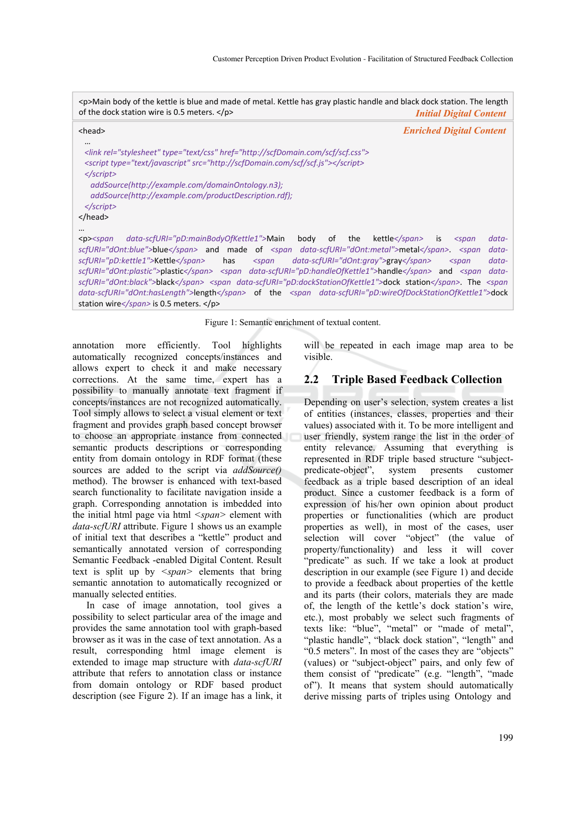<p>Main body of the kettle is blue and made of metal. Kettle has gray plastic handle and black dock station. The length of the dock station wire is 0.5 meters. </p> *Initial Digital Content*

| <head></head>                                                                                                                                                                                                                                                                                                                                                                                                                                                                                                                                                                                                                                             | <b>Enriched Digital Content</b>                                           |
|-----------------------------------------------------------------------------------------------------------------------------------------------------------------------------------------------------------------------------------------------------------------------------------------------------------------------------------------------------------------------------------------------------------------------------------------------------------------------------------------------------------------------------------------------------------------------------------------------------------------------------------------------------------|---------------------------------------------------------------------------|
| <br><link href="http://scfDomain.com/scf/scf.css" rel="stylesheet" type="text/css"/><br><script src="http://scfDomain.com/scf/scf.js" type="text/javascript"></script><br>$\langle$ script $\rangle$<br>addSource(http://example.com/domainOntology.n3);<br>addSource(http://example.com/productDescription.rdf);<br>$\langle$ script $\rangle$<br>                                                                                                                                                                                                                                                                                                       |                                                                           |
| <br>data-scfURI="pD:mainBodyOfKettle1">Main<br>the<br>body<br>of<br>$<$ p> $<$ span<br>scfURI="dOnt:blue">blue and made of <span data-scfuri="dOnt:metal">metal</span> <span<br>scfURI="pD:kettle1"&gt;Kettle<br/>data-scfURI="dOnt:gray"&gt;gray<br/>has<br/><math>&lt;</math>span<br/>scfURI="dOnt:plastic"&gt;plastic <span data-scfuri="pD:handleOfKettle1">handle</span> and <span<br>scfURI="dOnt:black"&gt;black <span data-scfuri="pD:dockStationOfKettle1">dock station</span>. The <span< th=""><th>kettle<br/>data-<br/>is.<br/><math>&lt;</math>span<br/>data-<br/>data-<br/><math>&lt;</math>span<br/>data-</th></span<></span<br></span<br> | kettle<br>data-<br>is.<br>$<$ span<br>data-<br>data-<br>$<$ span<br>data- |

Figure 1: Semantic enrichment of textual content.

*data‐scfURI="dOnt:hasLength">*length*</span>* of the *<span data‐scfURI="pD:wireOfDockStationOfKettle1">*dock

annotation more efficiently. Tool highlights automatically recognized concepts/instances and allows expert to check it and make necessary corrections. At the same time, expert has a possibility to manually annotate text fragment if concepts/instances are not recognized automatically. Tool simply allows to select a visual element or text fragment and provides graph based concept browser to choose an appropriate instance from connected semantic products descriptions or corresponding entity from domain ontology in RDF format (these sources are added to the script via *addSource()* method). The browser is enhanced with text-based search functionality to facilitate navigation inside a graph. Corresponding annotation is imbedded into the initial html page via html *<span>* element with *data-scfURI* attribute. Figure 1 shows us an example of initial text that describes a "kettle" product and semantically annotated version of corresponding Semantic Feedback -enabled Digital Content. Result text is split up by *<span>* elements that bring semantic annotation to automatically recognized or manually selected entities.

station wire*</span>* is 0.5 meters. </p>

In case of image annotation, tool gives a possibility to select particular area of the image and provides the same annotation tool with graph-based browser as it was in the case of text annotation. As a result, corresponding html image element is extended to image map structure with *data-scfURI* attribute that refers to annotation class or instance from domain ontology or RDF based product description (see Figure 2). If an image has a link, it

will be repeated in each image map area to be visible.

### **2.2 Triple Based Feedback Collection**

Depending on user's selection, system creates a list of entities (instances, classes, properties and their values) associated with it. To be more intelligent and user friendly, system range the list in the order of entity relevance. Assuming that everything is represented in RDF triple based structure "subjectpredicate-object", system presents customer feedback as a triple based description of an ideal product. Since a customer feedback is a form of expression of his/her own opinion about product properties or functionalities (which are product properties as well), in most of the cases, user selection will cover "object" (the value of property/functionality) and less it will cover "predicate" as such. If we take a look at product description in our example (see Figure 1) and decide to provide a feedback about properties of the kettle and its parts (their colors, materials they are made of, the length of the kettle's dock station's wire, etc.), most probably we select such fragments of texts like: "blue", "metal" or "made of metal", "plastic handle", "black dock station", "length" and "0.5 meters". In most of the cases they are "objects" (values) or "subject-object" pairs, and only few of them consist of "predicate" (e.g. "length", "made of"). It means that system should automatically derive missing parts of triples using Ontology and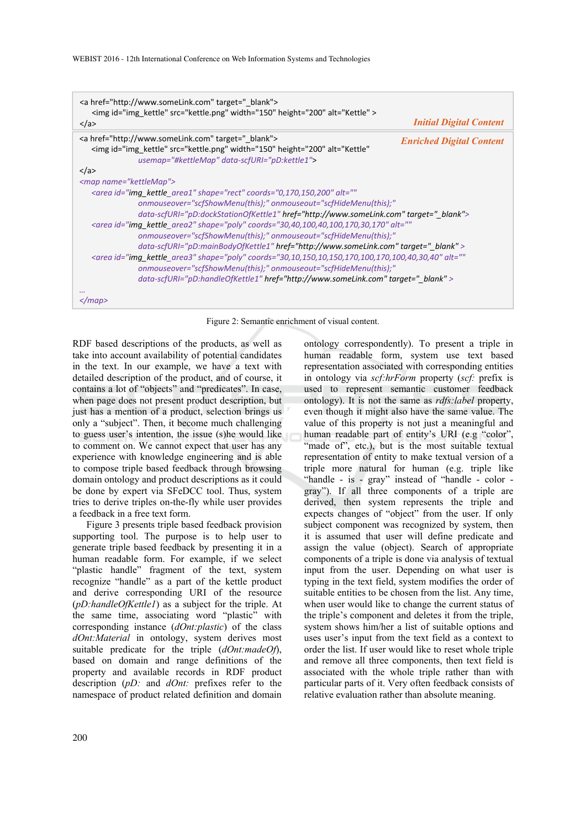| <a href="http://www.someLink.com" target=" blank"><br/><img alt="Kettle" height="200" id="img kettle" src="kettle.png" width="150"/><br/><math>\langle</math>a&gt;</a>                          | <b>Initial Digital Content</b>  |  |
|-------------------------------------------------------------------------------------------------------------------------------------------------------------------------------------------------|---------------------------------|--|
| <a href="http://www.someLink.com" target=" blank"><br/><img <br="" alt="Kettle" height="200" id="img kettle" src="kettle.png" width="150"/>usemap="#kettleMap" data-scfURI="pD:kettle1"&gt;</a> | <b>Enriched Digital Content</b> |  |
| $\langle$ a>                                                                                                                                                                                    |                                 |  |
| <map name="kettleMap"></map>                                                                                                                                                                    |                                 |  |
| <area <="" alt="" coords="0,170,150,200" id="img_kettle_area1" shape="rect" td=""/>                                                                                                             |                                 |  |
| onmouseover="scfShowMenu(this);" onmouseout="scfHideMenu(this);"                                                                                                                                |                                 |  |
| data-scfURI="pD:dockStationOfKettle1" href="http://www.someLink.com" target=" blank">                                                                                                           |                                 |  |
| <area <="" alt="" coords="30,40,100,40,100,170,30,170" id="img_kettle_area2" shape="poly" td=""/>                                                                                               |                                 |  |
| onmouseover="scfShowMenu(this);" onmouseout="scfHideMenu(this);"                                                                                                                                |                                 |  |
| data-scfURI="pD:mainBodyOfKettle1" href="http://www.someLink.com" target=" blank" >                                                                                                             |                                 |  |
| <area <="" alt="" coords="30,10,150,10,150,170,100,170,100,40,30,40" id="img_kettle_area3" shape="poly" td=""/>                                                                                 |                                 |  |
| onmouseover="scfShowMenu(this);" onmouseout="scfHideMenu(this);"                                                                                                                                |                                 |  |
| data-scfURI="pD:handleOfKettle1" href="http://www.someLink.com" target=" blank" >                                                                                                               |                                 |  |
| $<$ /map>                                                                                                                                                                                       |                                 |  |

#### Figure 2: Semantic enrichment of visual content.

RDF based descriptions of the products, as well as take into account availability of potential candidates in the text. In our example, we have a text with detailed description of the product, and of course, it contains a lot of "objects" and "predicates". In case, when page does not present product description, but just has a mention of a product, selection brings us only a "subject". Then, it become much challenging to guess user's intention, the issue (s)he would like to comment on. We cannot expect that user has any experience with knowledge engineering and is able to compose triple based feedback through browsing domain ontology and product descriptions as it could be done by expert via SFeDCC tool. Thus, system tries to derive triples on-the-fly while user provides a feedback in a free text form.

Figure 3 presents triple based feedback provision supporting tool. The purpose is to help user to generate triple based feedback by presenting it in a human readable form. For example, if we select "plastic handle" fragment of the text, system recognize "handle" as a part of the kettle product and derive corresponding URI of the resource (*pD:handleOfKettle1*) as a subject for the triple. At the same time, associating word "plastic" with corresponding instance (*dOnt:plastic*) of the class *dOnt:Material* in ontology, system derives most suitable predicate for the triple (*dOnt:madeOf*), based on domain and range definitions of the property and available records in RDF product description (*pD:* and *dOnt:* prefixes refer to the namespace of product related definition and domain

ontology correspondently). To present a triple in human readable form, system use text based representation associated with corresponding entities in ontology via *scf:hrForm* property (*scf:* prefix is used to represent semantic customer feedback ontology). It is not the same as *rdfs:label* property, even though it might also have the same value. The value of this property is not just a meaningful and human readable part of entity's URI (e.g "color", "made of", etc.), but is the most suitable textual representation of entity to make textual version of a triple more natural for human (e.g. triple like "handle - is - gray" instead of "handle - color gray"). If all three components of a triple are derived, then system represents the triple and expects changes of "object" from the user. If only subject component was recognized by system, then it is assumed that user will define predicate and assign the value (object). Search of appropriate components of a triple is done via analysis of textual input from the user. Depending on what user is typing in the text field, system modifies the order of suitable entities to be chosen from the list. Any time, when user would like to change the current status of the triple's component and deletes it from the triple, system shows him/her a list of suitable options and uses user's input from the text field as a context to order the list. If user would like to reset whole triple and remove all three components, then text field is associated with the whole triple rather than with particular parts of it. Very often feedback consists of relative evaluation rather than absolute meaning.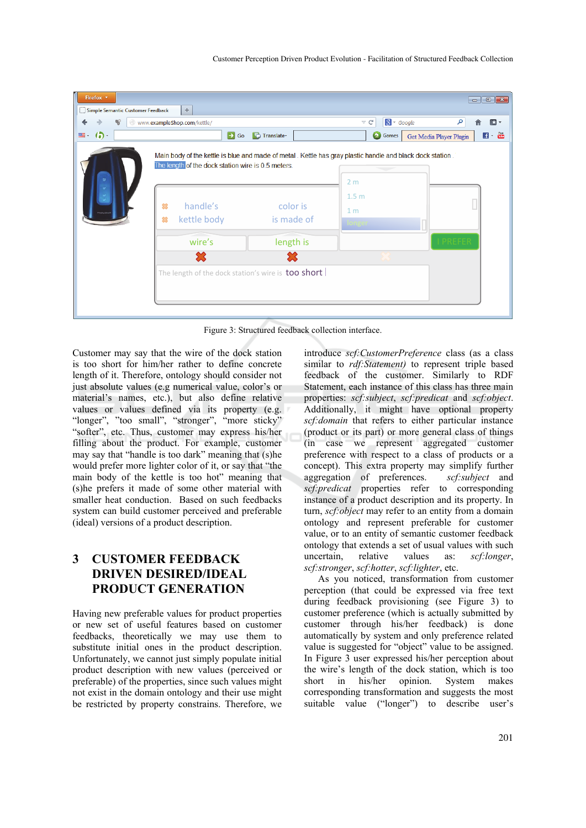| Firefox v<br>Simple Semantic Customer Feedback | $\div$                                                                                  |                        | $\begin{array}{c c c c c} \hline \multicolumn{1}{c }{\textbf{a}} & \multicolumn{1}{c }{\textbf{a}} & \multicolumn{1}{c }{\textbf{x}} \\\hline \multicolumn{1}{c }{\textbf{a}} & \multicolumn{1}{c }{\textbf{a}} & \multicolumn{1}{c }{\textbf{x}} \\\hline \multicolumn{1}{c }{\textbf{a}} & \multicolumn{1}{c }{\textbf{a}} & \multicolumn{1}{c }{\textbf{x}} \\\hline \multicolumn{1}{c }{\textbf{a}} & \multicolumn{1}{c }{\textbf{a}} & \multicolumn{1}{c $ |
|------------------------------------------------|-----------------------------------------------------------------------------------------|------------------------|-----------------------------------------------------------------------------------------------------------------------------------------------------------------------------------------------------------------------------------------------------------------------------------------------------------------------------------------------------------------------------------------------------------------------------------------------------------------|
| 畅<br>∍                                         | www.exampleShop.com/kettle/                                                             |                        | $8 - Google$<br>م<br>$\mathbbmss{C}$<br>r.                                                                                                                                                                                                                                                                                                                                                                                                                      |
| $\left( \bullet \right)$<br>$\blacksquare$     | $\rightarrow$ Go                                                                        | <b>D</b> Translate     | $\blacksquare$ = $\frac{Y_{00}}{10bc}$<br><b>B</b> Games<br>Get Media Player Plugin                                                                                                                                                                                                                                                                                                                                                                             |
|                                                | The length of the dock station wire is 0.5 meters.<br>handle's<br>舘<br>惢<br>kettle body | color is<br>is made of | Main body of the kettle is blue and made of metal. Kettle has gray plastic handle and black dock station.<br>2 <sub>m</sub><br>1.5 <sub>m</sub><br>1 <sub>m</sub><br>longer                                                                                                                                                                                                                                                                                     |
|                                                | wire's                                                                                  | length is              | <b>I PREFER</b>                                                                                                                                                                                                                                                                                                                                                                                                                                                 |
|                                                | 忩                                                                                       |                        |                                                                                                                                                                                                                                                                                                                                                                                                                                                                 |
|                                                | The length of the dock station's wire is too short                                      |                        |                                                                                                                                                                                                                                                                                                                                                                                                                                                                 |

Figure 3: Structured feedback collection interface.

Customer may say that the wire of the dock station is too short for him/her rather to define concrete length of it. Therefore, ontology should consider not just absolute values (e.g numerical value, color's or material's names, etc.), but also define relative values or values defined via its property (e.g. "longer", "too small", "stronger", "more sticky" "softer", etc. Thus, customer may express his/her filling about the product. For example, customer may say that "handle is too dark" meaning that (s)he would prefer more lighter color of it, or say that "the main body of the kettle is too hot" meaning that (s)he prefers it made of some other material with smaller heat conduction. Based on such feedbacks system can build customer perceived and preferable (ideal) versions of a product description.

# **3 CUSTOMER FEEDBACK DRIVEN DESIRED/IDEAL PRODUCT GENERATION**

Having new preferable values for product properties or new set of useful features based on customer feedbacks, theoretically we may use them to substitute initial ones in the product description. Unfortunately, we cannot just simply populate initial product description with new values (perceived or preferable) of the properties, since such values might not exist in the domain ontology and their use might be restricted by property constrains. Therefore, we

introduce *scf:CustomerPreference* class (as a class similar to *rdf:Statement)* to represent triple based feedback of the customer. Similarly to RDF Statement, each instance of this class has three main properties: *scf:subject*, *scf:predicat* and *scf:object*. Additionally, it might have optional property *scf:domain* that refers to either particular instance (product or its part) or more general class of things (in case we represent aggregated customer preference with respect to a class of products or a concept). This extra property may simplify further aggregation of preferences. *scf:subject* and *scf:predicat* properties refer to corresponding instance of a product description and its property. In turn, *scf:object* may refer to an entity from a domain ontology and represent preferable for customer value, or to an entity of semantic customer feedback ontology that extends a set of usual values with such uncertain, relative values as: *scf:longer*, *scf:stronger*, *scf:hotter*, *scf:lighter*, etc.

As you noticed, transformation from customer perception (that could be expressed via free text during feedback provisioning (see Figure 3) to customer preference (which is actually submitted by customer through his/her feedback) is done automatically by system and only preference related value is suggested for "object" value to be assigned. In Figure 3 user expressed his/her perception about the wire's length of the dock station, which is too short in his/her opinion. System makes corresponding transformation and suggests the most suitable value ("longer") to describe user's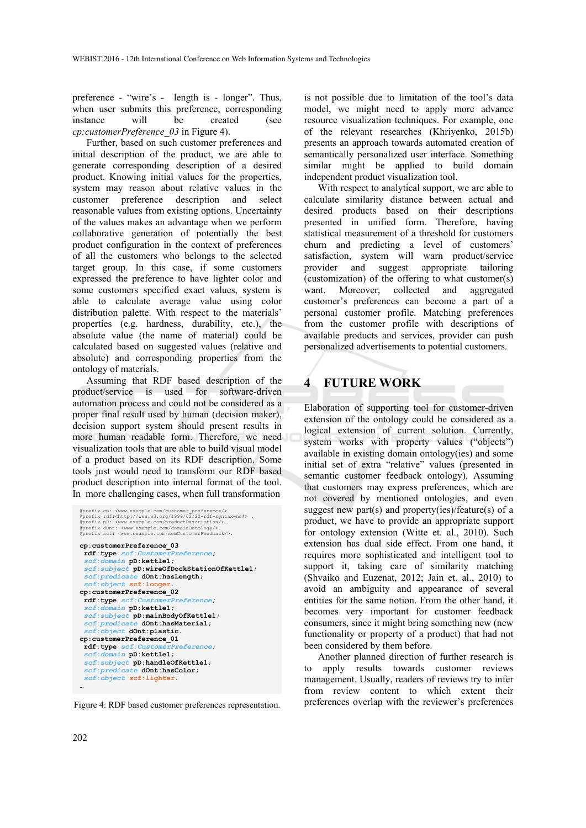preference - "wire's - length is - longer". Thus, when user submits this preference, corresponding instance will be created (see *cp:customerPreference\_03* in Figure 4).

Further, based on such customer preferences and initial description of the product, we are able to generate corresponding description of a desired product. Knowing initial values for the properties, system may reason about relative values in the customer preference description and select reasonable values from existing options. Uncertainty of the values makes an advantage when we perform collaborative generation of potentially the best product configuration in the context of preferences of all the customers who belongs to the selected target group. In this case, if some customers expressed the preference to have lighter color and some customers specified exact values, system is able to calculate average value using color distribution palette. With respect to the materials' properties (e.g. hardness, durability, etc.), the absolute value (the name of material) could be calculated based on suggested values (relative and absolute) and corresponding properties from the ontology of materials.

Assuming that RDF based description of the product/service is used for software-driven automation process and could not be considered as a proper final result used by human (decision maker), decision support system should present results in more human readable form. Therefore, we need visualization tools that are able to build visual model of a product based on its RDF description. Some tools just would need to transform our RDF based product description into internal format of the tool. In more challenging cases, when full transformation

```
@prefix cp: <www.example.com/customer_preferemce/>.<br>@prefix rdf:<http://www.w3.org/1999/02/22-rdf-syntax-ns#> .<br>@prefix pD: <www.example.com/productDescription/>.
@prefix dOnt: <www.example.com/domainOntology/>. 
@prefix scf: <www.example.com/semCustomerFeedback/>. 
cp:customerPreference_03 
 rdf:type scf:Customerence
 scf:domain pD:kettle1; 
 scf:subject pD:wireOfDockStationOfKettle1; 
scf:predicate dOnt:hasLength; 
 scf:object scf:longer. 
cp:customerPreference_02 
  rdf:type scf:CustomerPreference; 
 scf:domain pD:kettle1; 
 scf:subject pD:mainBodyOfKettle1; 
 scf:predicate dOnt:hasMaterial; 
 scf:object dOnt:plastic. 
cp:customerPreference_01 
 \mathbf{rdf:}type \mathbf{scf:}Custom
 scf:domain pD:kettle1; 
 scf:subject pD:handleOfKettle1; 
 scf:predicate dOnt:hasColor; 
 scf:object scf:lighter. 
…
```
Figure 4: RDF based customer preferences representation.

is not possible due to limitation of the tool's data model, we might need to apply more advance resource visualization techniques. For example, one of the relevant researches (Khriyenko, 2015b) presents an approach towards automated creation of semantically personalized user interface. Something similar might be applied to build domain independent product visualization tool.

With respect to analytical support, we are able to calculate similarity distance between actual and desired products based on their descriptions presented in unified form. Therefore, having statistical measurement of a threshold for customers churn and predicting a level of customers' satisfaction, system will warn product/service provider and suggest appropriate tailoring (customization) of the offering to what customer(s) want. Moreover, collected and aggregated customer's preferences can become a part of a personal customer profile. Matching preferences from the customer profile with descriptions of available products and services, provider can push personalized advertisements to potential customers.

## **4 FUTURE WORK**

Elaboration of supporting tool for customer-driven extension of the ontology could be considered as a logical extension of current solution. Currently, system works with property values ("objects") available in existing domain ontology(ies) and some initial set of extra "relative" values (presented in semantic customer feedback ontology). Assuming that customers may express preferences, which are not covered by mentioned ontologies, and even suggest new part(s) and property(ies)/feature(s) of a product, we have to provide an appropriate support for ontology extension (Witte et. al., 2010). Such extension has dual side effect. From one hand, it requires more sophisticated and intelligent tool to support it, taking care of similarity matching (Shvaiko and Euzenat, 2012; Jain et. al., 2010) to avoid an ambiguity and appearance of several entities for the same notion. From the other hand, it becomes very important for customer feedback consumers, since it might bring something new (new functionality or property of a product) that had not been considered by them before.

Another planned direction of further research is to apply results towards customer reviews management. Usually, readers of reviews try to infer from review content to which extent their preferences overlap with the reviewer's preferences